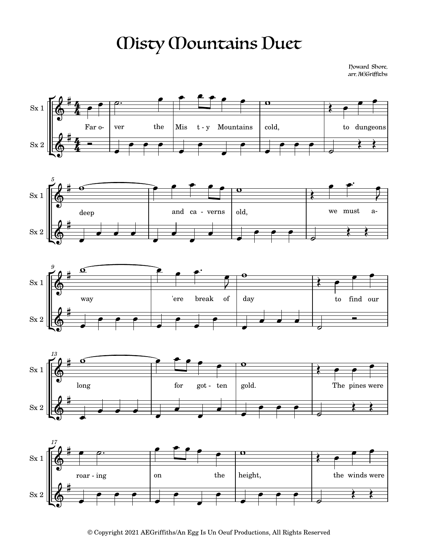## Misty Mountains Duet

Howard Shore, arr. AEGriffiths